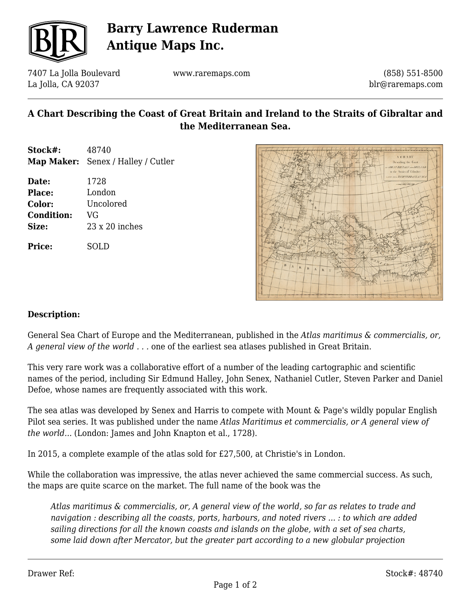

# **Barry Lawrence Ruderman Antique Maps Inc.**

7407 La Jolla Boulevard La Jolla, CA 92037

www.raremaps.com

(858) 551-8500 blr@raremaps.com

### **A Chart Describing the Coast of Great Britain and Ireland to the Straits of Gibraltar and the Mediterranean Sea.**

- **Stock#:** 48740 **Map Maker:** Senex / Halley / Cutler
- **Date:** 1728 **Place:** London **Color:** Uncolored **Condition:** VG **Size:** 23 x 20 inches

**Price:** SOLD



#### **Description:**

General Sea Chart of Europe and the Mediterranean, published in the *Atlas maritimus & commercialis, or, A general view of the world . . .* one of the earliest sea atlases published in Great Britain.

This very rare work was a collaborative effort of a number of the leading cartographic and scientific names of the period, including Sir Edmund Halley, John Senex, Nathaniel Cutler, Steven Parker and Daniel Defoe, whose names are frequently associated with this work.

The sea atlas was developed by Senex and Harris to compete with Mount & Page's wildly popular English Pilot sea series. It was published under the name *Atlas Maritimus et commercialis, or A general view of the world...* (London: James and John Knapton et al., 1728).

In 2015, a complete example of the atlas sold for £27,500, at Christie's in London.

While the collaboration was impressive, the atlas never achieved the same commercial success. As such, the maps are quite scarce on the market. The full name of the book was the

*Atlas maritimus & commercialis, or, A general view of the world, so far as relates to trade and navigation : describing all the coasts, ports, harbours, and noted rivers ... : to which are added sailing directions for all the known coasts and islands on the globe, with a set of sea charts, some laid down after Mercator, but the greater part according to a new globular projection*